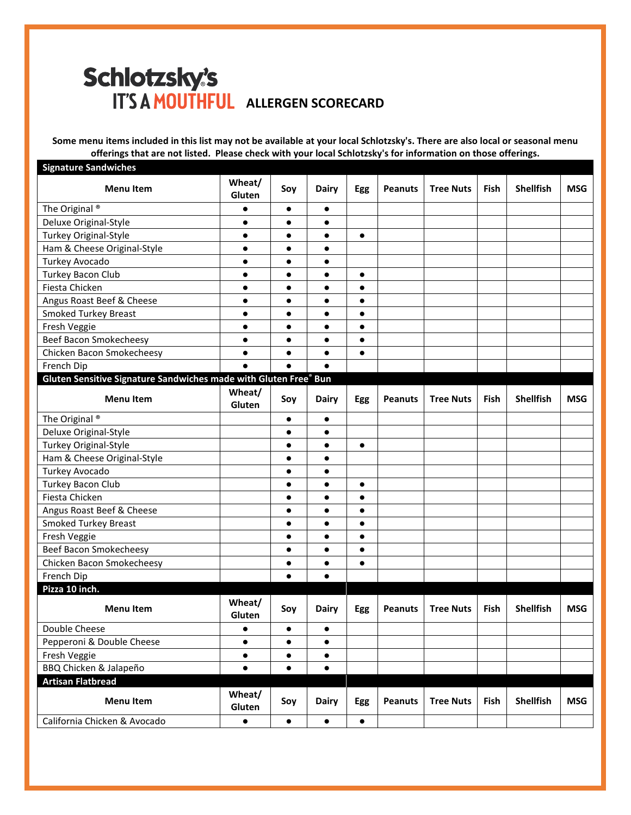## Schlotzsky's **IT'S A MOUTHFUL ALLERGEN SCORECARD**

**Some menu items included in this list may not be available at your local Schlotzsky's. There are also local or seasonal menu offerings that are not listed. Please check with your local Schlotzsky's for information on those offerings.**

| <b>Signature Sandwiches</b>                                      |                  |           |              |            |                |                  |      |                  |            |
|------------------------------------------------------------------|------------------|-----------|--------------|------------|----------------|------------------|------|------------------|------------|
| <b>Menu Item</b>                                                 | Wheat/<br>Gluten | Soy       | <b>Dairy</b> | Egg        | <b>Peanuts</b> | <b>Tree Nuts</b> | Fish | <b>Shellfish</b> | <b>MSG</b> |
| The Original <sup>®</sup>                                        | $\bullet$        | $\bullet$ | $\bullet$    |            |                |                  |      |                  |            |
| Deluxe Original-Style                                            | $\bullet$        | $\bullet$ | $\bullet$    |            |                |                  |      |                  |            |
| <b>Turkey Original-Style</b>                                     | $\bullet$        | $\bullet$ | $\bullet$    | $\bullet$  |                |                  |      |                  |            |
| Ham & Cheese Original-Style                                      | $\bullet$        | $\bullet$ | $\bullet$    |            |                |                  |      |                  |            |
| Turkey Avocado                                                   | $\bullet$        | $\bullet$ | $\bullet$    |            |                |                  |      |                  |            |
| <b>Turkey Bacon Club</b>                                         | $\bullet$        | $\bullet$ | $\bullet$    | $\bullet$  |                |                  |      |                  |            |
| Fiesta Chicken                                                   | $\bullet$        | $\bullet$ | $\bullet$    | $\bullet$  |                |                  |      |                  |            |
| Angus Roast Beef & Cheese                                        | $\bullet$        | $\bullet$ | $\bullet$    | $\bullet$  |                |                  |      |                  |            |
| <b>Smoked Turkey Breast</b>                                      | $\bullet$        | $\bullet$ | $\bullet$    | $\bullet$  |                |                  |      |                  |            |
| Fresh Veggie                                                     | $\bullet$        | $\bullet$ | $\bullet$    | $\bullet$  |                |                  |      |                  |            |
| Beef Bacon Smokecheesy                                           | $\bullet$        | $\bullet$ | $\bullet$    | $\bullet$  |                |                  |      |                  |            |
| Chicken Bacon Smokecheesy                                        | $\bullet$        | $\bullet$ | $\bullet$    | $\bullet$  |                |                  |      |                  |            |
| French Dip                                                       | $\bullet$        |           | $\bullet$    |            |                |                  |      |                  |            |
| Gluten Sensitive Signature Sandwiches made with Gluten Free® Bun |                  |           |              |            |                |                  |      |                  |            |
| <b>Menu Item</b>                                                 | Wheat/<br>Gluten | Soy       | <b>Dairy</b> | Egg        | <b>Peanuts</b> | <b>Tree Nuts</b> | Fish | <b>Shellfish</b> | <b>MSG</b> |
| The Original <sup>®</sup>                                        |                  | $\bullet$ | $\bullet$    |            |                |                  |      |                  |            |
| Deluxe Original-Style                                            |                  | $\bullet$ | $\bullet$    |            |                |                  |      |                  |            |
| <b>Turkey Original-Style</b>                                     |                  | $\bullet$ | $\bullet$    | $\bullet$  |                |                  |      |                  |            |
| Ham & Cheese Original-Style                                      |                  | $\bullet$ | $\bullet$    |            |                |                  |      |                  |            |
| Turkey Avocado                                                   |                  | $\bullet$ | $\bullet$    |            |                |                  |      |                  |            |
| Turkey Bacon Club                                                |                  | $\bullet$ | $\bullet$    | $\bullet$  |                |                  |      |                  |            |
| Fiesta Chicken                                                   |                  |           | $\bullet$    | $\bullet$  |                |                  |      |                  |            |
| Angus Roast Beef & Cheese                                        |                  | $\bullet$ | $\bullet$    | $\bullet$  |                |                  |      |                  |            |
| <b>Smoked Turkey Breast</b>                                      |                  | $\bullet$ | $\bullet$    | $\bullet$  |                |                  |      |                  |            |
| Fresh Veggie                                                     |                  | $\bullet$ | $\bullet$    | $\bullet$  |                |                  |      |                  |            |
| Beef Bacon Smokecheesy                                           |                  | $\bullet$ | $\bullet$    | $\bullet$  |                |                  |      |                  |            |
| Chicken Bacon Smokecheesy                                        |                  | $\bullet$ | $\bullet$    | $\bullet$  |                |                  |      |                  |            |
| French Dip                                                       |                  | $\bullet$ | $\bullet$    |            |                |                  |      |                  |            |
| Pizza 10 inch.                                                   |                  |           |              |            |                |                  |      |                  |            |
| <b>Menu Item</b>                                                 | Wheat/<br>Gluten | Soy       | <b>Dairy</b> | Egg        | <b>Peanuts</b> | <b>Tree Nuts</b> | Fish | <b>Shellfish</b> | <b>MSG</b> |
| Double Cheese                                                    | $\bullet$        | $\bullet$ | $\bullet$    |            |                |                  |      |                  |            |
| Pepperoni & Double Cheese                                        | $\bullet$        | $\bullet$ | $\bullet$    |            |                |                  |      |                  |            |
| Fresh Veggie                                                     | $\bullet$        | $\bullet$ | $\bullet$    |            |                |                  |      |                  |            |
| BBQ Chicken & Jalapeño                                           | $\bullet$        | $\bullet$ | $\bullet$    |            |                |                  |      |                  |            |
| <b>Artisan Flatbread</b>                                         |                  |           |              |            |                |                  |      |                  |            |
| <b>Menu Item</b>                                                 | Wheat/<br>Gluten | Soy       | <b>Dairy</b> | <b>Egg</b> | <b>Peanuts</b> | <b>Tree Nuts</b> | Fish | <b>Shellfish</b> | <b>MSG</b> |
| California Chicken & Avocado                                     | $\bullet$        | $\bullet$ | $\bullet$    | $\bullet$  |                |                  |      |                  |            |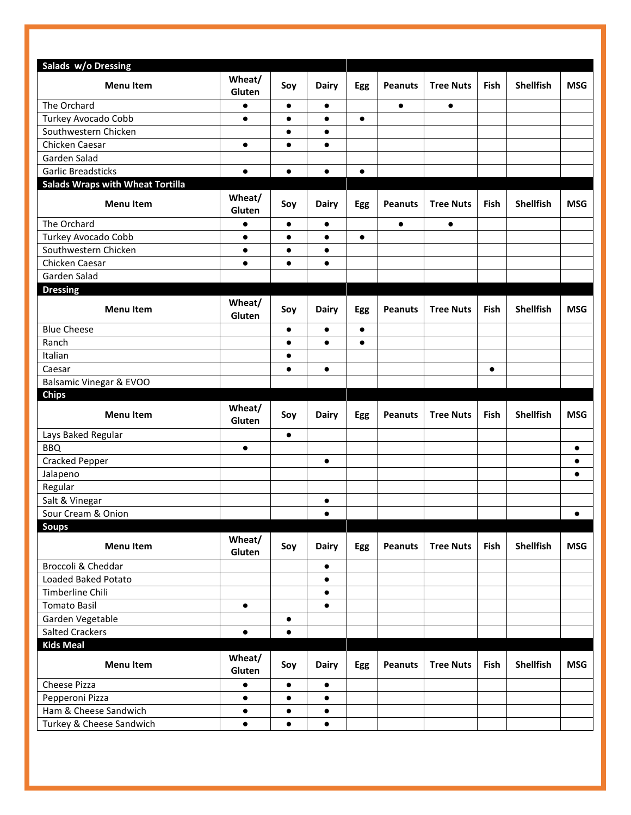| Salads w/o Dressing                               |                  |           |              |            |                |                  |           |                  |            |
|---------------------------------------------------|------------------|-----------|--------------|------------|----------------|------------------|-----------|------------------|------------|
| <b>Menu Item</b>                                  | Wheat/<br>Gluten | Soy       | <b>Dairy</b> | <b>Egg</b> | <b>Peanuts</b> | <b>Tree Nuts</b> | Fish      | <b>Shellfish</b> | <b>MSG</b> |
| The Orchard                                       | $\bullet$        | $\bullet$ | $\bullet$    |            | $\bullet$      | $\bullet$        |           |                  |            |
| Turkey Avocado Cobb                               | $\bullet$        | $\bullet$ | $\bullet$    | $\bullet$  |                |                  |           |                  |            |
| Southwestern Chicken                              |                  | $\bullet$ | $\bullet$    |            |                |                  |           |                  |            |
| Chicken Caesar                                    | $\bullet$        | $\bullet$ | $\bullet$    |            |                |                  |           |                  |            |
| Garden Salad                                      |                  |           |              |            |                |                  |           |                  |            |
| <b>Garlic Breadsticks</b>                         | $\bullet$        | $\bullet$ | $\bullet$    | $\bullet$  |                |                  |           |                  |            |
| <b>Salads Wraps with Wheat Tortilla</b>           |                  |           |              |            |                |                  |           |                  |            |
| <b>Menu Item</b>                                  | Wheat/<br>Gluten | Soy       | <b>Dairy</b> | <b>Egg</b> | <b>Peanuts</b> | <b>Tree Nuts</b> | Fish      | <b>Shellfish</b> | <b>MSG</b> |
| The Orchard                                       | $\bullet$        | $\bullet$ | $\bullet$    |            | $\bullet$      | $\bullet$        |           |                  |            |
| Turkey Avocado Cobb                               | $\bullet$        | $\bullet$ | $\bullet$    | $\bullet$  |                |                  |           |                  |            |
| Southwestern Chicken                              | $\bullet$        | $\bullet$ | $\bullet$    |            |                |                  |           |                  |            |
| Chicken Caesar                                    | $\bullet$        | $\bullet$ | $\bullet$    |            |                |                  |           |                  |            |
| Garden Salad                                      |                  |           |              |            |                |                  |           |                  |            |
| <b>Dressing</b>                                   |                  |           |              |            |                |                  |           |                  |            |
| <b>Menu Item</b>                                  | Wheat/<br>Gluten | Soy       | <b>Dairy</b> | <b>Egg</b> | <b>Peanuts</b> | <b>Tree Nuts</b> | Fish      | <b>Shellfish</b> | <b>MSG</b> |
| <b>Blue Cheese</b>                                |                  | $\bullet$ | $\bullet$    | $\bullet$  |                |                  |           |                  |            |
| Ranch                                             |                  | $\bullet$ | $\bullet$    | $\bullet$  |                |                  |           |                  |            |
| Italian                                           |                  | $\bullet$ |              |            |                |                  |           |                  |            |
| Caesar                                            |                  | $\bullet$ | $\bullet$    |            |                |                  | $\bullet$ |                  |            |
| Balsamic Vinegar & EVOO                           |                  |           |              |            |                |                  |           |                  |            |
|                                                   |                  |           |              |            |                |                  |           |                  |            |
| <b>Chips</b>                                      |                  |           |              |            |                |                  |           |                  |            |
| <b>Menu Item</b>                                  | Wheat/<br>Gluten | Soy       | <b>Dairy</b> | <b>Egg</b> | <b>Peanuts</b> | <b>Tree Nuts</b> | Fish      | <b>Shellfish</b> | <b>MSG</b> |
| Lays Baked Regular                                |                  | $\bullet$ |              |            |                |                  |           |                  |            |
| <b>BBQ</b>                                        | $\bullet$        |           |              |            |                |                  |           |                  | $\bullet$  |
| <b>Cracked Pepper</b>                             |                  |           | $\bullet$    |            |                |                  |           |                  | $\bullet$  |
| Jalapeno                                          |                  |           |              |            |                |                  |           |                  | $\bullet$  |
| Regular                                           |                  |           |              |            |                |                  |           |                  |            |
| Salt & Vinegar                                    |                  |           | ٠            |            |                |                  |           |                  |            |
| Sour Cream & Onion                                |                  |           | $\bullet$    |            |                |                  |           |                  | $\bullet$  |
| <b>Soups</b>                                      |                  |           |              |            |                |                  |           |                  |            |
| <b>Menu Item</b>                                  | Wheat/<br>Gluten | Soy       | <b>Dairy</b> | <b>Egg</b> | <b>Peanuts</b> | <b>Tree Nuts</b> | Fish      | <b>Shellfish</b> | <b>MSG</b> |
| Broccoli & Cheddar                                |                  |           | $\bullet$    |            |                |                  |           |                  |            |
| Loaded Baked Potato                               |                  |           | $\bullet$    |            |                |                  |           |                  |            |
| Timberline Chili                                  |                  |           | $\bullet$    |            |                |                  |           |                  |            |
| <b>Tomato Basil</b>                               | $\bullet$        |           | $\bullet$    |            |                |                  |           |                  |            |
| Garden Vegetable                                  |                  | $\bullet$ |              |            |                |                  |           |                  |            |
| <b>Salted Crackers</b>                            | $\bullet$        | $\bullet$ |              |            |                |                  |           |                  |            |
| <b>Kids Meal</b>                                  |                  |           |              |            |                |                  |           |                  |            |
| <b>Menu Item</b>                                  | Wheat/<br>Gluten | Soy       | <b>Dairy</b> | <b>Egg</b> | <b>Peanuts</b> | <b>Tree Nuts</b> | Fish      | <b>Shellfish</b> | <b>MSG</b> |
| Cheese Pizza                                      | $\bullet$        | $\bullet$ | $\bullet$    |            |                |                  |           |                  |            |
| Pepperoni Pizza                                   | $\bullet$        | $\bullet$ | $\bullet$    |            |                |                  |           |                  |            |
| Ham & Cheese Sandwich<br>Turkey & Cheese Sandwich | $\bullet$        | $\bullet$ | $\bullet$    |            |                |                  |           |                  |            |